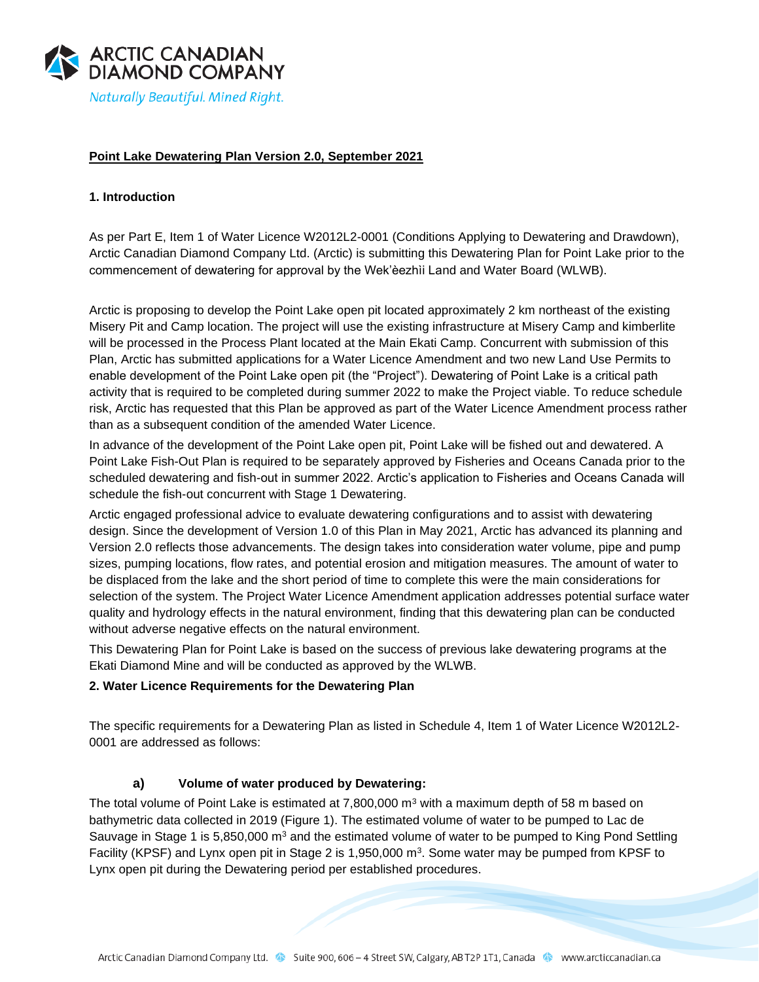

### **Point Lake Dewatering Plan Version 2.0, September 2021**

#### **1. Introduction**

As per Part E, Item 1 of Water Licence W2012L2-0001 (Conditions Applying to Dewatering and Drawdown), Arctic Canadian Diamond Company Ltd. (Arctic) is submitting this Dewatering Plan for Point Lake prior to the commencement of dewatering for approval by the Wek'èezhìi Land and Water Board (WLWB).

Arctic is proposing to develop the Point Lake open pit located approximately 2 km northeast of the existing Misery Pit and Camp location. The project will use the existing infrastructure at Misery Camp and kimberlite will be processed in the Process Plant located at the Main Ekati Camp. Concurrent with submission of this Plan, Arctic has submitted applications for a Water Licence Amendment and two new Land Use Permits to enable development of the Point Lake open pit (the "Project"). Dewatering of Point Lake is a critical path activity that is required to be completed during summer 2022 to make the Project viable. To reduce schedule risk, Arctic has requested that this Plan be approved as part of the Water Licence Amendment process rather than as a subsequent condition of the amended Water Licence.

In advance of the development of the Point Lake open pit, Point Lake will be fished out and dewatered. A Point Lake Fish-Out Plan is required to be separately approved by Fisheries and Oceans Canada prior to the scheduled dewatering and fish-out in summer 2022. Arctic's application to Fisheries and Oceans Canada will schedule the fish-out concurrent with Stage 1 Dewatering.

Arctic engaged professional advice to evaluate dewatering configurations and to assist with dewatering design. Since the development of Version 1.0 of this Plan in May 2021, Arctic has advanced its planning and Version 2.0 reflects those advancements. The design takes into consideration water volume, pipe and pump sizes, pumping locations, flow rates, and potential erosion and mitigation measures. The amount of water to be displaced from the lake and the short period of time to complete this were the main considerations for selection of the system. The Project Water Licence Amendment application addresses potential surface water quality and hydrology effects in the natural environment, finding that this dewatering plan can be conducted without adverse negative effects on the natural environment.

This Dewatering Plan for Point Lake is based on the success of previous lake dewatering programs at the Ekati Diamond Mine and will be conducted as approved by the WLWB.

#### **2. Water Licence Requirements for the Dewatering Plan**

The specific requirements for a Dewatering Plan as listed in Schedule 4, Item 1 of Water Licence W2012L2- 0001 are addressed as follows:

#### **a) Volume of water produced by Dewatering:**

The total volume of Point Lake is estimated at  $7,800,000$  m<sup>3</sup> with a maximum depth of 58 m based on bathymetric data collected in 2019 (Figure 1). The estimated volume of water to be pumped to Lac de Sauvage in Stage 1 is 5,850,000 m<sup>3</sup> and the estimated volume of water to be pumped to King Pond Settling Facility (KPSF) and Lynx open pit in Stage 2 is 1,950,000 m<sup>3</sup>. Some water may be pumped from KPSF to Lynx open pit during the Dewatering period per established procedures.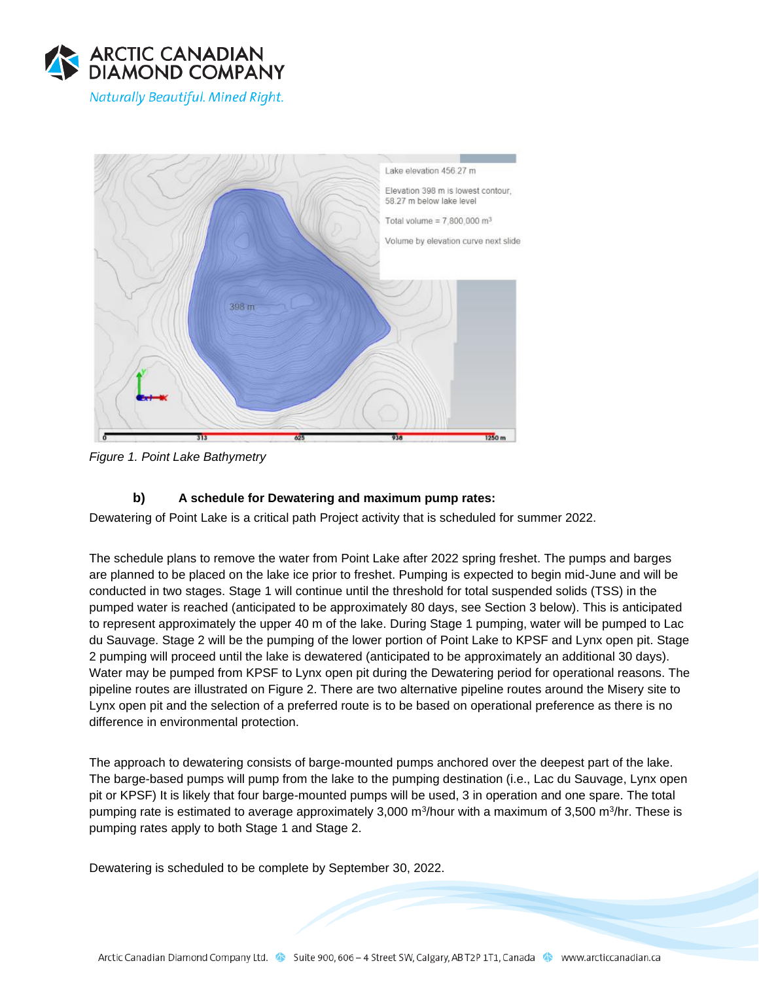



*Figure 1. Point Lake Bathymetry* 

# **b) A schedule for Dewatering and maximum pump rates:**

Dewatering of Point Lake is a critical path Project activity that is scheduled for summer 2022.

The schedule plans to remove the water from Point Lake after 2022 spring freshet. The pumps and barges are planned to be placed on the lake ice prior to freshet. Pumping is expected to begin mid-June and will be conducted in two stages. Stage 1 will continue until the threshold for total suspended solids (TSS) in the pumped water is reached (anticipated to be approximately 80 days, see Section 3 below). This is anticipated to represent approximately the upper 40 m of the lake. During Stage 1 pumping, water will be pumped to Lac du Sauvage. Stage 2 will be the pumping of the lower portion of Point Lake to KPSF and Lynx open pit. Stage 2 pumping will proceed until the lake is dewatered (anticipated to be approximately an additional 30 days). Water may be pumped from KPSF to Lynx open pit during the Dewatering period for operational reasons. The pipeline routes are illustrated on Figure 2. There are two alternative pipeline routes around the Misery site to Lynx open pit and the selection of a preferred route is to be based on operational preference as there is no difference in environmental protection.

The approach to dewatering consists of barge-mounted pumps anchored over the deepest part of the lake. The barge-based pumps will pump from the lake to the pumping destination (i.e., Lac du Sauvage, Lynx open pit or KPSF) It is likely that four barge-mounted pumps will be used, 3 in operation and one spare. The total pumping rate is estimated to average approximately 3,000 m<sup>3</sup>/hour with a maximum of 3,500 m<sup>3</sup>/hr. These is pumping rates apply to both Stage 1 and Stage 2.

Dewatering is scheduled to be complete by September 30, 2022.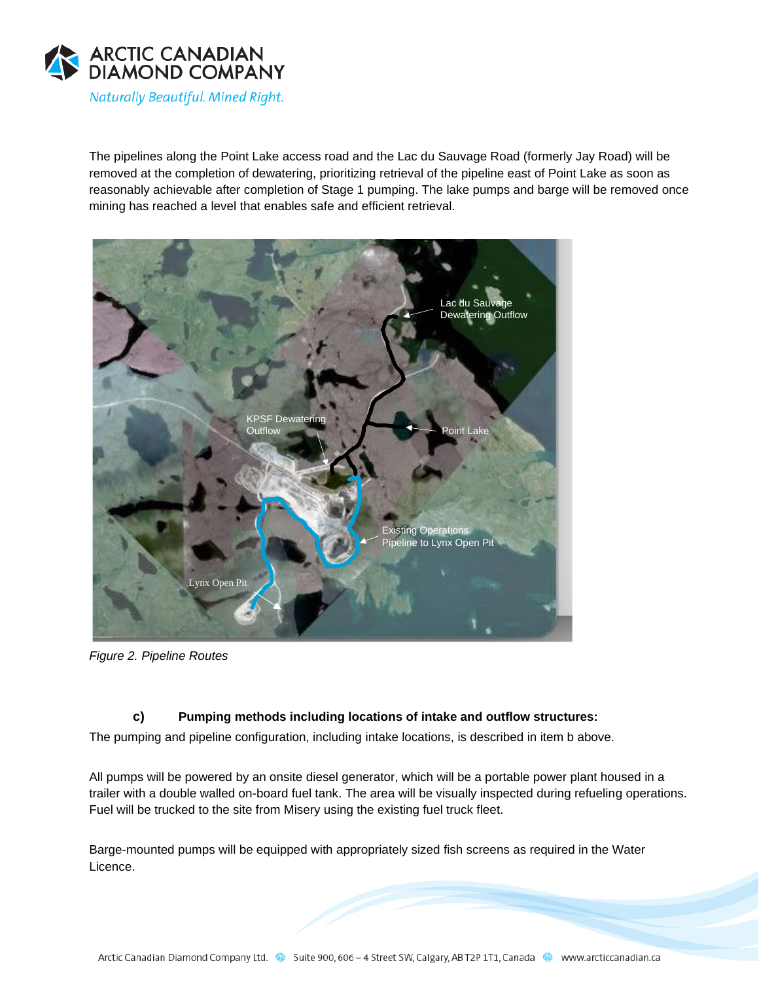

The pipelines along the Point Lake access road and the Lac du Sauvage Road (formerly Jay Road) will be removed at the completion of dewatering, prioritizing retrieval of the pipeline east of Point Lake as soon as reasonably achievable after completion of Stage 1 pumping. The lake pumps and barge will be removed once mining has reached a level that enables safe and efficient retrieval.



*Figure 2. Pipeline Routes*

## **c) Pumping methods including locations of intake and outflow structures:**

The pumping and pipeline configuration, including intake locations, is described in item b above.

All pumps will be powered by an onsite diesel generator, which will be a portable power plant housed in a trailer with a double walled on-board fuel tank. The area will be visually inspected during refueling operations. Fuel will be trucked to the site from Misery using the existing fuel truck fleet.

Barge-mounted pumps will be equipped with appropriately sized fish screens as required in the Water Licence.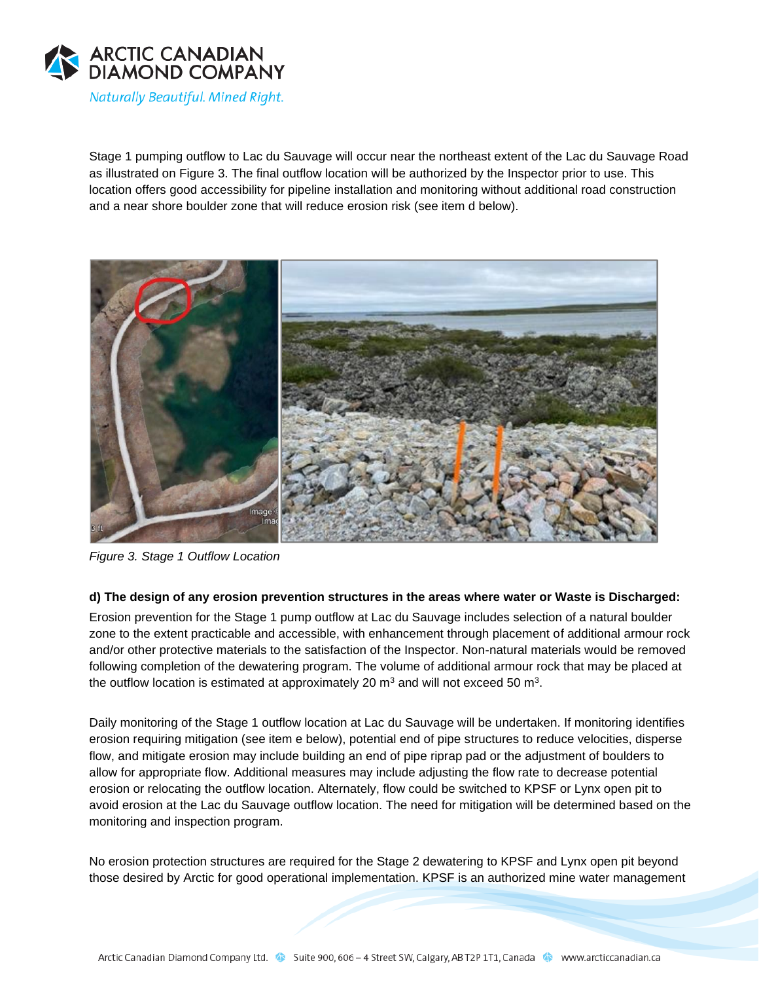

Stage 1 pumping outflow to Lac du Sauvage will occur near the northeast extent of the Lac du Sauvage Road as illustrated on Figure 3. The final outflow location will be authorized by the Inspector prior to use. This location offers good accessibility for pipeline installation and monitoring without additional road construction and a near shore boulder zone that will reduce erosion risk (see item d below).



*Figure 3. Stage 1 Outflow Location* 

#### **d) The design of any erosion prevention structures in the areas where water or Waste is Discharged:**

Erosion prevention for the Stage 1 pump outflow at Lac du Sauvage includes selection of a natural boulder zone to the extent practicable and accessible, with enhancement through placement of additional armour rock and/or other protective materials to the satisfaction of the Inspector. Non-natural materials would be removed following completion of the dewatering program. The volume of additional armour rock that may be placed at the outflow location is estimated at approximately 20  $m^3$  and will not exceed 50  $m^3$ .

Daily monitoring of the Stage 1 outflow location at Lac du Sauvage will be undertaken. If monitoring identifies erosion requiring mitigation (see item e below), potential end of pipe structures to reduce velocities, disperse flow, and mitigate erosion may include building an end of pipe riprap pad or the adjustment of boulders to allow for appropriate flow. Additional measures may include adjusting the flow rate to decrease potential erosion or relocating the outflow location. Alternately, flow could be switched to KPSF or Lynx open pit to avoid erosion at the Lac du Sauvage outflow location. The need for mitigation will be determined based on the monitoring and inspection program.

No erosion protection structures are required for the Stage 2 dewatering to KPSF and Lynx open pit beyond those desired by Arctic for good operational implementation. KPSF is an authorized mine water management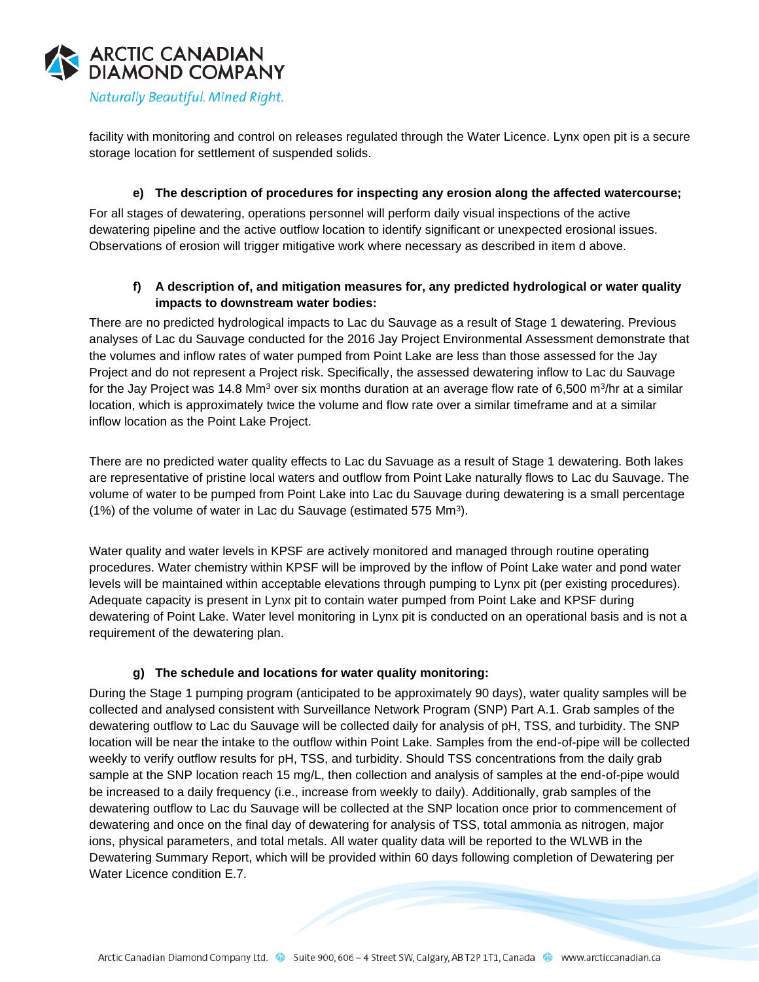

facility with monitoring and control on releases regulated through the Water Licence. Lynx open pit is a secure storage location for settlement of suspended solids.

#### **e) The description of procedures for inspecting any erosion along the affected watercourse;**

For all stages of dewatering, operations personnel will perform daily visual inspections of the active dewatering pipeline and the active outflow location to identify significant or unexpected erosional issues. Observations of erosion will trigger mitigative work where necessary as described in item d above.

#### **f) A description of, and mitigation measures for, any predicted hydrological or water quality impacts to downstream water bodies:**

There are no predicted hydrological impacts to Lac du Sauvage as a result of Stage 1 dewatering. Previous analyses of Lac du Sauvage conducted for the 2016 Jay Project Environmental Assessment demonstrate that the volumes and inflow rates of water pumped from Point Lake are less than those assessed for the Jay Project and do not represent a Project risk. Specifically, the assessed dewatering inflow to Lac du Sauvage for the Jay Project was 14.8 Mm<sup>3</sup> over six months duration at an average flow rate of 6,500 m<sup>3</sup>/hr at a similar location, which is approximately twice the volume and flow rate over a similar timeframe and at a similar inflow location as the Point Lake Project.

There are no predicted water quality effects to Lac du Savuage as a result of Stage 1 dewatering. Both lakes are representative of pristine local waters and outflow from Point Lake naturally flows to Lac du Sauvage. The volume of water to be pumped from Point Lake into Lac du Sauvage during dewatering is a small percentage (1%) of the volume of water in Lac du Sauvage (estimated 575 Mm<sup>3</sup> ).

Water quality and water levels in KPSF are actively monitored and managed through routine operating procedures. Water chemistry within KPSF will be improved by the inflow of Point Lake water and pond water levels will be maintained within acceptable elevations through pumping to Lynx pit (per existing procedures). Adequate capacity is present in Lynx pit to contain water pumped from Point Lake and KPSF during dewatering of Point Lake. Water level monitoring in Lynx pit is conducted on an operational basis and is not a requirement of the dewatering plan.

#### **g) The schedule and locations for water quality monitoring:**

During the Stage 1 pumping program (anticipated to be approximately 90 days), water quality samples will be collected and analysed consistent with Surveillance Network Program (SNP) Part A.1. Grab samples of the dewatering outflow to Lac du Sauvage will be collected daily for analysis of pH, TSS, and turbidity. The SNP location will be near the intake to the outflow within Point Lake. Samples from the end-of-pipe will be collected weekly to verify outflow results for pH, TSS, and turbidity. Should TSS concentrations from the daily grab sample at the SNP location reach 15 mg/L, then collection and analysis of samples at the end-of-pipe would be increased to a daily frequency (i.e., increase from weekly to daily). Additionally, grab samples of the dewatering outflow to Lac du Sauvage will be collected at the SNP location once prior to commencement of dewatering and once on the final day of dewatering for analysis of TSS, total ammonia as nitrogen, major ions, physical parameters, and total metals. All water quality data will be reported to the WLWB in the Dewatering Summary Report, which will be provided within 60 days following completion of Dewatering per Water Licence condition E.7.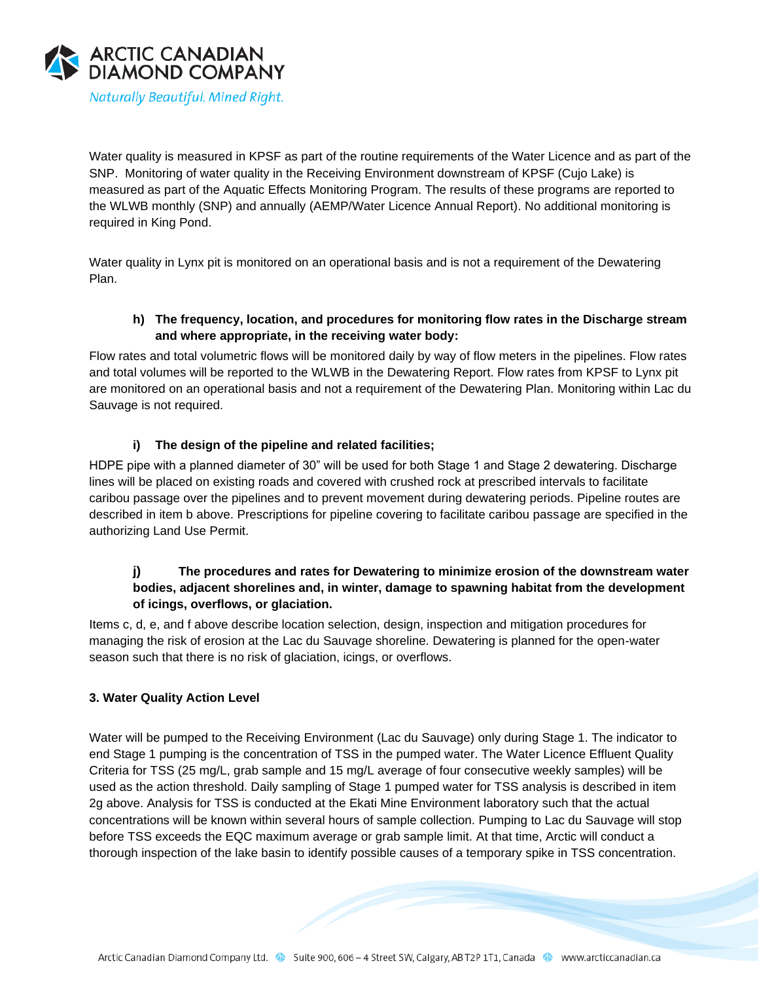

Water quality is measured in KPSF as part of the routine requirements of the Water Licence and as part of the SNP. Monitoring of water quality in the Receiving Environment downstream of KPSF (Cujo Lake) is measured as part of the Aquatic Effects Monitoring Program. The results of these programs are reported to the WLWB monthly (SNP) and annually (AEMP/Water Licence Annual Report). No additional monitoring is required in King Pond.

Water quality in Lynx pit is monitored on an operational basis and is not a requirement of the Dewatering Plan.

### **h) The frequency, location, and procedures for monitoring flow rates in the Discharge stream and where appropriate, in the receiving water body:**

Flow rates and total volumetric flows will be monitored daily by way of flow meters in the pipelines. Flow rates and total volumes will be reported to the WLWB in the Dewatering Report. Flow rates from KPSF to Lynx pit are monitored on an operational basis and not a requirement of the Dewatering Plan. Monitoring within Lac du Sauvage is not required.

## **i) The design of the pipeline and related facilities;**

HDPE pipe with a planned diameter of 30" will be used for both Stage 1 and Stage 2 dewatering. Discharge lines will be placed on existing roads and covered with crushed rock at prescribed intervals to facilitate caribou passage over the pipelines and to prevent movement during dewatering periods. Pipeline routes are described in item b above. Prescriptions for pipeline covering to facilitate caribou passage are specified in the authorizing Land Use Permit.

## **j) The procedures and rates for Dewatering to minimize erosion of the downstream water bodies, adjacent shorelines and, in winter, damage to spawning habitat from the development of icings, overflows, or glaciation.**

Items c, d, e, and f above describe location selection, design, inspection and mitigation procedures for managing the risk of erosion at the Lac du Sauvage shoreline. Dewatering is planned for the open-water season such that there is no risk of glaciation, icings, or overflows.

## **3. Water Quality Action Level**

Water will be pumped to the Receiving Environment (Lac du Sauvage) only during Stage 1. The indicator to end Stage 1 pumping is the concentration of TSS in the pumped water. The Water Licence Effluent Quality Criteria for TSS (25 mg/L, grab sample and 15 mg/L average of four consecutive weekly samples) will be used as the action threshold. Daily sampling of Stage 1 pumped water for TSS analysis is described in item 2g above. Analysis for TSS is conducted at the Ekati Mine Environment laboratory such that the actual concentrations will be known within several hours of sample collection. Pumping to Lac du Sauvage will stop before TSS exceeds the EQC maximum average or grab sample limit. At that time, Arctic will conduct a thorough inspection of the lake basin to identify possible causes of a temporary spike in TSS concentration.